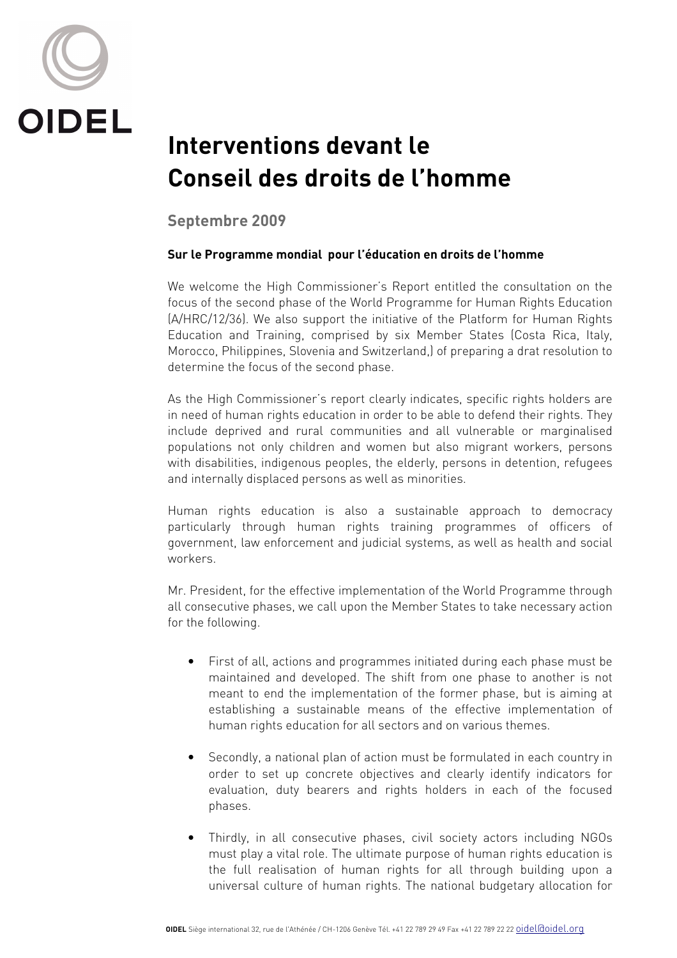

## **Interventions devant le Conseil des droits de l'homme**

**Septembre 2009** 

## **Sur le Programme mondial pour l'éducation en droits de l'homme**

We welcome the High Commissioner's Report entitled the consultation on the focus of the second phase of the World Programme for Human Rights Education (A/HRC/12/36). We also support the initiative of the Platform for Human Rights Education and Training, comprised by six Member States (Costa Rica, Italy, Morocco, Philippines, Slovenia and Switzerland,) of preparing a drat resolution to determine the focus of the second phase.

As the High Commissioner's report clearly indicates, specific rights holders are in need of human rights education in order to be able to defend their rights. They include deprived and rural communities and all vulnerable or marginalised populations not only children and women but also migrant workers, persons with disabilities, indigenous peoples, the elderly, persons in detention, refugees and internally displaced persons as well as minorities.

Human rights education is also a sustainable approach to democracy particularly through human rights training programmes of officers of government, law enforcement and judicial systems, as well as health and social workers.

Mr. President, for the effective implementation of the World Programme through all consecutive phases, we call upon the Member States to take necessary action for the following.

- First of all, actions and programmes initiated during each phase must be maintained and developed. The shift from one phase to another is not meant to end the implementation of the former phase, but is aiming at establishing a sustainable means of the effective implementation of human rights education for all sectors and on various themes.
- Secondly, a national plan of action must be formulated in each country in order to set up concrete objectives and clearly identify indicators for evaluation, duty bearers and rights holders in each of the focused phases.
- Thirdly, in all consecutive phases, civil society actors including NGOs must play a vital role. The ultimate purpose of human rights education is the full realisation of human rights for all through building upon a universal culture of human rights. The national budgetary allocation for